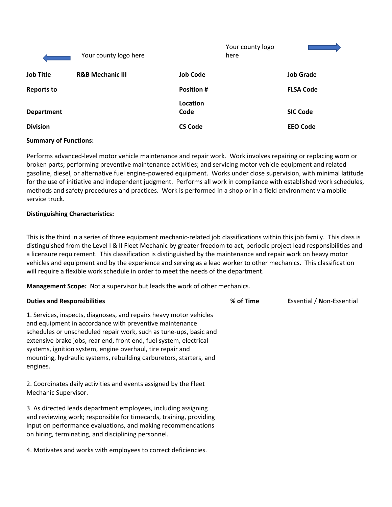|                   | Your county logo here       |                   | Your county logo<br>here |                  |
|-------------------|-----------------------------|-------------------|--------------------------|------------------|
| <b>Job Title</b>  | <b>R&amp;B Mechanic III</b> | <b>Job Code</b>   |                          | <b>Job Grade</b> |
| <b>Reports to</b> |                             | <b>Position #</b> |                          | <b>FLSA Code</b> |
| <b>Department</b> |                             | Location<br>Code  |                          | <b>SIC Code</b>  |
| <b>Division</b>   |                             | <b>CS Code</b>    |                          | <b>EEO Code</b>  |

#### **Summary of Functions:**

Performs advanced-level motor vehicle maintenance and repair work. Work involves repairing or replacing worn or broken parts; performing preventive maintenance activities; and servicing motor vehicle equipment and related gasoline, diesel, or alternative fuel engine-powered equipment. Works under close supervision, with minimal latitude for the use of initiative and independent judgment. Performs all work in compliance with established work schedules, methods and safety procedures and practices. Work is performed in a shop or in a field environment via mobile service truck.

### **Distinguishing Characteristics:**

This is the third in a series of three equipment mechanic-related job classifications within this job family. This class is distinguished from the Level I & II Fleet Mechanic by greater freedom to act, periodic project lead responsibilities and a licensure requirement. This classification is distinguished by the maintenance and repair work on heavy motor vehicles and equipment and by the experience and serving as a lead worker to other mechanics. This classification will require a flexible work schedule in order to meet the needs of the department.

**Management Scope:** Not a supervisor but leads the work of other mechanics.

| <b>Duties and Responsibilities</b>                                                                                                                                                                                                                                                                                                                                                                                       | % of Time | <b>Essential / Non-Essential</b> |
|--------------------------------------------------------------------------------------------------------------------------------------------------------------------------------------------------------------------------------------------------------------------------------------------------------------------------------------------------------------------------------------------------------------------------|-----------|----------------------------------|
| 1. Services, inspects, diagnoses, and repairs heavy motor vehicles<br>and equipment in accordance with preventive maintenance<br>schedules or unscheduled repair work, such as tune-ups, basic and<br>extensive brake jobs, rear end, front end, fuel system, electrical<br>systems, ignition system, engine overhaul, tire repair and<br>mounting, hydraulic systems, rebuilding carburetors, starters, and<br>engines. |           |                                  |
| 2. Coordinates daily activities and events assigned by the Fleet<br>Mechanic Supervisor.                                                                                                                                                                                                                                                                                                                                 |           |                                  |
| 3. As directed leads department employees, including assigning<br>and reviewing work; responsible for timecards, training, providing<br>input on performance evaluations, and making recommendations<br>on hiring, terminating, and disciplining personnel.                                                                                                                                                              |           |                                  |
| 4. Motivates and works with employees to correct deficiencies.                                                                                                                                                                                                                                                                                                                                                           |           |                                  |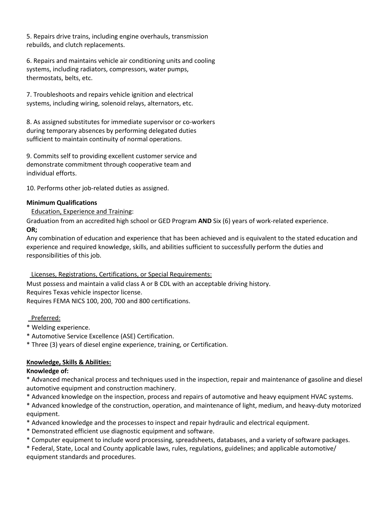5. Repairs drive trains, including engine overhauls, transmission rebuilds, and clutch replacements.

6. Repairs and maintains vehicle air conditioning units and cooling systems, including radiators, compressors, water pumps, thermostats, belts, etc.

7. Troubleshoots and repairs vehicle ignition and electrical systems, including wiring, solenoid relays, alternators, etc.

8. As assigned substitutes for immediate supervisor or co-workers during temporary absences by performing delegated duties sufficient to maintain continuity of normal operations.

9. Commits self to providing excellent customer service and demonstrate commitment through cooperative team and individual efforts.

10. Performs other job-related duties as assigned.

### **Minimum Qualifications**

Education, Experience and Training:

Graduation from an accredited high school or GED Program **AND** Six (6) years of work-related experience. **OR;** 

Any combination of education and experience that has been achieved and is equivalent to the stated education and experience and required knowledge, skills, and abilities sufficient to successfully perform the duties and responsibilities of this job.

#### Licenses, Registrations, Certifications, or Special Requirements:

Must possess and maintain a valid class A or B CDL with an acceptable driving history. Requires Texas vehicle inspector license. Requires FEMA NICS 100, 200, 700 and 800 certifications.

Preferred:

- \* Welding experience.
- \* Automotive Service Excellence (ASE) Certification.
- \* Three (3) years of diesel engine experience, training, or Certification.

# **Knowledge, Skills & Abilities:**

#### **Knowledge of:**

\* Advanced mechanical process and techniques used in the inspection, repair and maintenance of gasoline and diesel automotive equipment and construction machinery.

\* Advanced knowledge on the inspection, process and repairs of automotive and heavy equipment HVAC systems.

\* Advanced knowledge of the construction, operation, and maintenance of light, medium, and heavy-duty motorized equipment.

\* Advanced knowledge and the processes to inspect and repair hydraulic and electrical equipment.

\* Demonstrated efficient use diagnostic equipment and software.

\* Computer equipment to include word processing, spreadsheets, databases, and a variety of software packages.

\* Federal, State, Local and County applicable laws, rules, regulations, guidelines; and applicable automotive/ equipment standards and procedures.